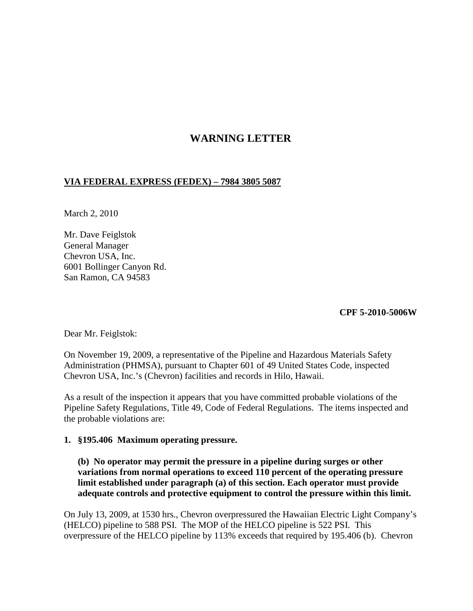# **WARNING LETTER**

### **VIA FEDERAL EXPRESS (FEDEX) – 7984 3805 5087**

March 2, 2010

Mr. Dave Feiglstok General Manager Chevron USA, Inc. 6001 Bollinger Canyon Rd. San Ramon, CA 94583

#### **CPF 5-2010-5006W**

Dear Mr. Feiglstok:

On November 19, 2009, a representative of the Pipeline and Hazardous Materials Safety Administration (PHMSA), pursuant to Chapter 601 of 49 United States Code, inspected Chevron USA, Inc.'s (Chevron) facilities and records in Hilo, Hawaii.

As a result of the inspection it appears that you have committed probable violations of the Pipeline Safety Regulations, Title 49, Code of Federal Regulations. The items inspected and the probable violations are:

### **1. §195.406 Maximum operating pressure.**

**(b) No operator may permit the pressure in a pipeline during surges or other variations from normal operations to exceed 110 percent of the operating pressure limit established under paragraph (a) of this section. Each operator must provide adequate controls and protective equipment to control the pressure within this limit.**

On July 13, 2009, at 1530 hrs., Chevron overpressured the Hawaiian Electric Light Company's (HELCO) pipeline to 588 PSI. The MOP of the HELCO pipeline is 522 PSI. This overpressure of the HELCO pipeline by 113% exceeds that required by 195.406 (b). Chevron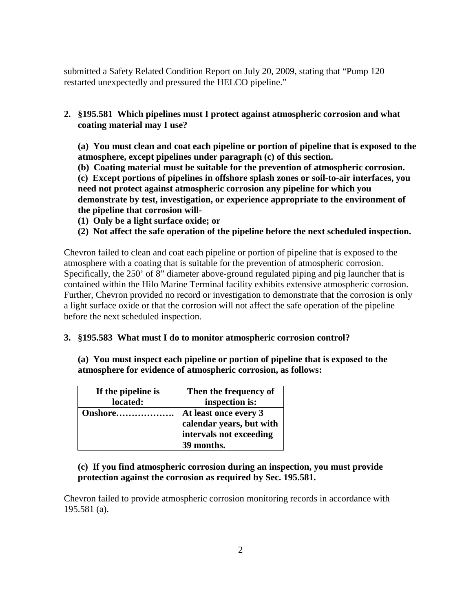submitted a Safety Related Condition Report on July 20, 2009, stating that "Pump 120 restarted unexpectedly and pressured the HELCO pipeline."

**2. §195.581 Which pipelines must I protect against atmospheric corrosion and what coating material may I use?**

**(a) You must clean and coat each pipeline or portion of pipeline that is exposed to the atmosphere, except pipelines under paragraph (c) of this section.**

**(b) Coating material must be suitable for the prevention of atmospheric corrosion.**

**(c) Except portions of pipelines in offshore splash zones or soil-to-air interfaces, you need not protect against atmospheric corrosion any pipeline for which you demonstrate by test, investigation, or experience appropriate to the environment of the pipeline that corrosion will-**

- **(1) Only be a light surface oxide; or**
- **(2) Not affect the safe operation of the pipeline before the next scheduled inspection.**

Chevron failed to clean and coat each pipeline or portion of pipeline that is exposed to the atmosphere with a coating that is suitable for the prevention of atmospheric corrosion. Specifically, the 250' of 8" diameter above-ground regulated piping and pig launcher that is contained within the Hilo Marine Terminal facility exhibits extensive atmospheric corrosion. Further, Chevron provided no record or investigation to demonstrate that the corrosion is only a light surface oxide or that the corrosion will not affect the safe operation of the pipeline before the next scheduled inspection.

### **3. §195.583 What must I do to monitor atmospheric corrosion control?**

**(a) You must inspect each pipeline or portion of pipeline that is exposed to the atmosphere for evidence of atmospheric corrosion, as follows:**

| If the pipeline is | Then the frequency of    |
|--------------------|--------------------------|
| located:           | inspection is:           |
| Onshore            | At least once every 3    |
|                    | calendar years, but with |
|                    | intervals not exceeding  |
|                    | 39 months.               |

## **(c) If you find atmospheric corrosion during an inspection, you must provide protection against the corrosion as required by Sec. 195.581.**

Chevron failed to provide atmospheric corrosion monitoring records in accordance with 195.581 (a).